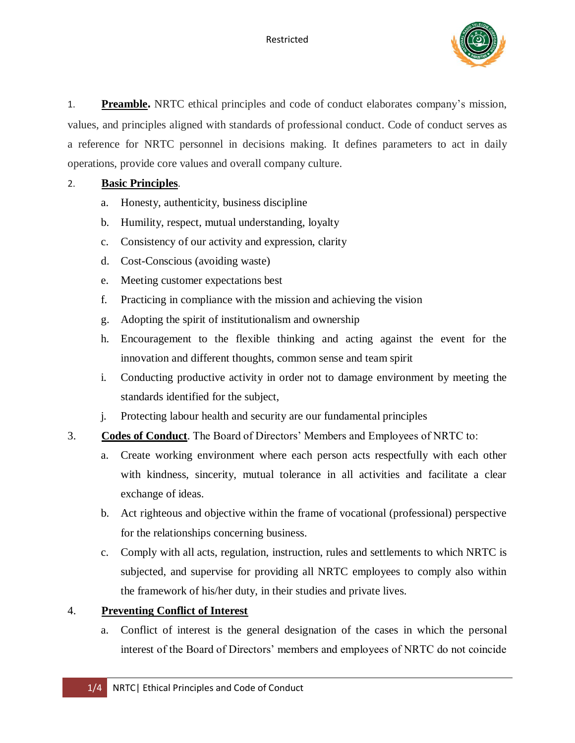

1. **Preamble.** NRTC ethical principles and code of conduct elaborates company's mission, values, and principles aligned with standards of professional conduct. Code of conduct serves as a reference for NRTC personnel in decisions making. It defines parameters to act in daily operations, provide core values and overall company culture.

## 2. **Basic Principles**.

- a. Honesty, authenticity, business discipline
- b. Humility, respect, mutual understanding, loyalty
- c. Consistency of our activity and expression, clarity
- d. Cost-Conscious (avoiding waste)
- e. Meeting customer expectations best
- f. Practicing in compliance with the mission and achieving the vision
- g. Adopting the spirit of institutionalism and ownership
- h. Encouragement to the flexible thinking and acting against the event for the innovation and different thoughts, common sense and team spirit
- i. Conducting productive activity in order not to damage environment by meeting the standards identified for the subject,
- j. Protecting labour health and security are our fundamental principles
- 3. **Codes of Conduct**. The Board of Directors' Members and Employees of NRTC to:
	- a. Create working environment where each person acts respectfully with each other with kindness, sincerity, mutual tolerance in all activities and facilitate a clear exchange of ideas.
	- b. Act righteous and objective within the frame of vocational (professional) perspective for the relationships concerning business.
	- c. Comply with all acts, regulation, instruction, rules and settlements to which NRTC is subjected, and supervise for providing all NRTC employees to comply also within the framework of his/her duty, in their studies and private lives.

## 4. **Preventing Conflict of Interest**

a. Conflict of interest is the general designation of the cases in which the personal interest of the Board of Directors' members and employees of NRTC do not coincide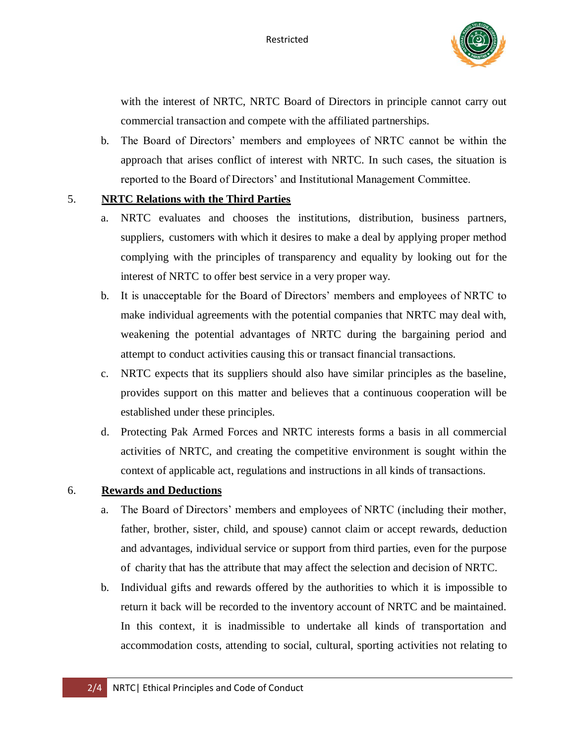

with the interest of NRTC, NRTC Board of Directors in principle cannot carry out commercial transaction and compete with the affiliated partnerships.

b. The Board of Directors' members and employees of NRTC cannot be within the approach that arises conflict of interest with NRTC. In such cases, the situation is reported to the Board of Directors' and Institutional Management Committee.

## 5. **NRTC Relations with the Third Parties**

- a. NRTC evaluates and chooses the institutions, distribution, business partners, suppliers, customers with which it desires to make a deal by applying proper method complying with the principles of transparency and equality by looking out for the interest of NRTC to offer best service in a very proper way.
- b. It is unacceptable for the Board of Directors' members and employees of NRTC to make individual agreements with the potential companies that NRTC may deal with, weakening the potential advantages of NRTC during the bargaining period and attempt to conduct activities causing this or transact financial transactions.
- c. NRTC expects that its suppliers should also have similar principles as the baseline, provides support on this matter and believes that a continuous cooperation will be established under these principles.
- d. Protecting Pak Armed Forces and NRTC interests forms a basis in all commercial activities of NRTC, and creating the competitive environment is sought within the context of applicable act, regulations and instructions in all kinds of transactions.

## 6. **Rewards and Deductions**

- a. The Board of Directors' members and employees of NRTC (including their mother, father, brother, sister, child, and spouse) cannot claim or accept rewards, deduction and advantages, individual service or support from third parties, even for the purpose of charity that has the attribute that may affect the selection and decision of NRTC.
- b. Individual gifts and rewards offered by the authorities to which it is impossible to return it back will be recorded to the inventory account of NRTC and be maintained. In this context, it is inadmissible to undertake all kinds of transportation and accommodation costs, attending to social, cultural, sporting activities not relating to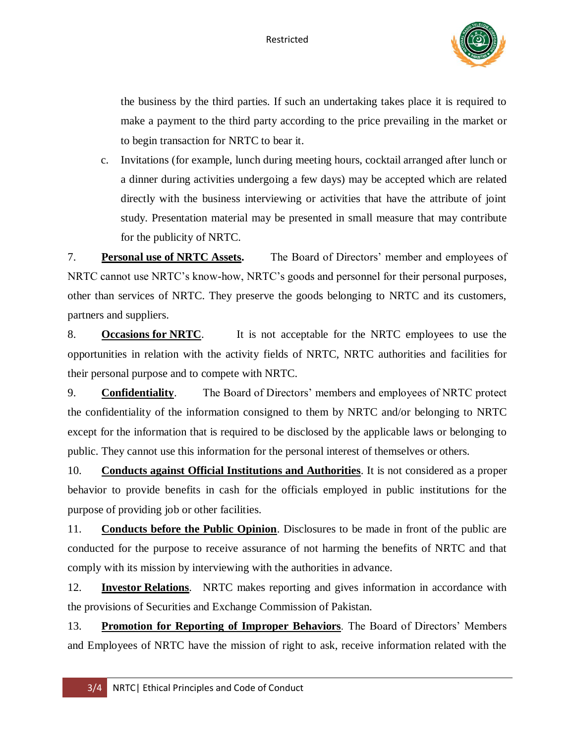

the business by the third parties. If such an undertaking takes place it is required to make a payment to the third party according to the price prevailing in the market or to begin transaction for NRTC to bear it.

c. Invitations (for example, lunch during meeting hours, cocktail arranged after lunch or a dinner during activities undergoing a few days) may be accepted which are related directly with the business interviewing or activities that have the attribute of joint study. Presentation material may be presented in small measure that may contribute for the publicity of NRTC.

7. **Personal use of NRTC Assets.** The Board of Directors' member and employees of NRTC cannot use NRTC's know-how, NRTC's goods and personnel for their personal purposes, other than services of NRTC. They preserve the goods belonging to NRTC and its customers, partners and suppliers.

8. **Occasions for NRTC**. It is not acceptable for the NRTC employees to use the opportunities in relation with the activity fields of NRTC, NRTC authorities and facilities for their personal purpose and to compete with NRTC.

9. **Confidentiality**. The Board of Directors' members and employees of NRTC protect the confidentiality of the information consigned to them by NRTC and/or belonging to NRTC except for the information that is required to be disclosed by the applicable laws or belonging to public. They cannot use this information for the personal interest of themselves or others.

10. **Conducts against Official Institutions and Authorities**. It is not considered as a proper behavior to provide benefits in cash for the officials employed in public institutions for the purpose of providing job or other facilities.

11. **Conducts before the Public Opinion**. Disclosures to be made in front of the public are conducted for the purpose to receive assurance of not harming the benefits of NRTC and that comply with its mission by interviewing with the authorities in advance.

12. **Investor Relations**. NRTC makes reporting and gives information in accordance with the provisions of Securities and Exchange Commission of Pakistan.

13. **Promotion for Reporting of Improper Behaviors**. The Board of Directors' Members and Employees of NRTC have the mission of right to ask, receive information related with the